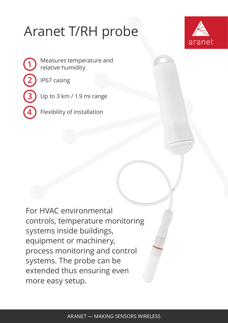## Aranet T/RH probe



Measures temperature and relative humidity

IP67 casing

**1**

**2**

**3**

**4**

Up to 3 km / 1.9 mi range

Flexibility of installation

For HVAC environmental controls, temperature monitoring systems inside buildings, equipment or machinery, process monitoring and control systems. The probe can be extended thus ensuring even more easy setup.